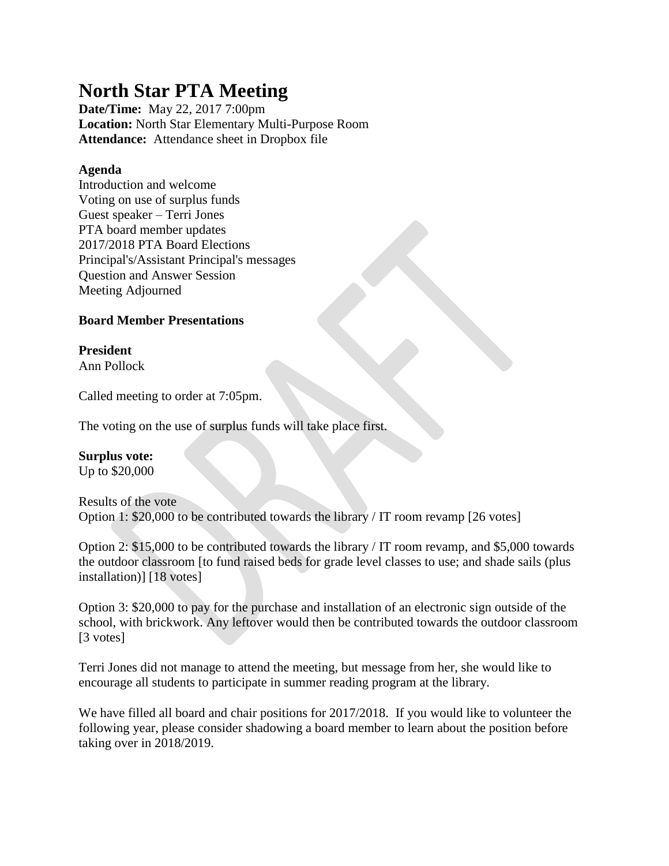# **North Star PTA Meeting**

**Date/Time:** May 22, 2017 7:00pm **Location:** North Star Elementary Multi-Purpose Room **Attendance:** Attendance sheet in Dropbox file

## **Agenda**

Introduction and welcome Voting on use of surplus funds Guest speaker – Terri Jones PTA board member updates 2017/2018 PTA Board Elections Principal's/Assistant Principal's messages Question and Answer Session Meeting Adjourned

# **Board Member Presentations**

**President** Ann Pollock

Called meeting to order at 7:05pm.

The voting on the use of surplus funds will take place first.

## **Surplus vote:**

Up to \$20,000

## Results of the vote Option 1: \$20,000 to be contributed towards the library / IT room revamp [26 votes]

Option 2: \$15,000 to be contributed towards the library / IT room revamp, and \$5,000 towards the outdoor classroom [to fund raised beds for grade level classes to use; and shade sails (plus installation)] [18 votes]

Option 3: \$20,000 to pay for the purchase and installation of an electronic sign outside of the school, with brickwork. Any leftover would then be contributed towards the outdoor classroom [3 votes]

Terri Jones did not manage to attend the meeting, but message from her, she would like to encourage all students to participate in summer reading program at the library.

We have filled all board and chair positions for 2017/2018. If you would like to volunteer the following year, please consider shadowing a board member to learn about the position before taking over in 2018/2019.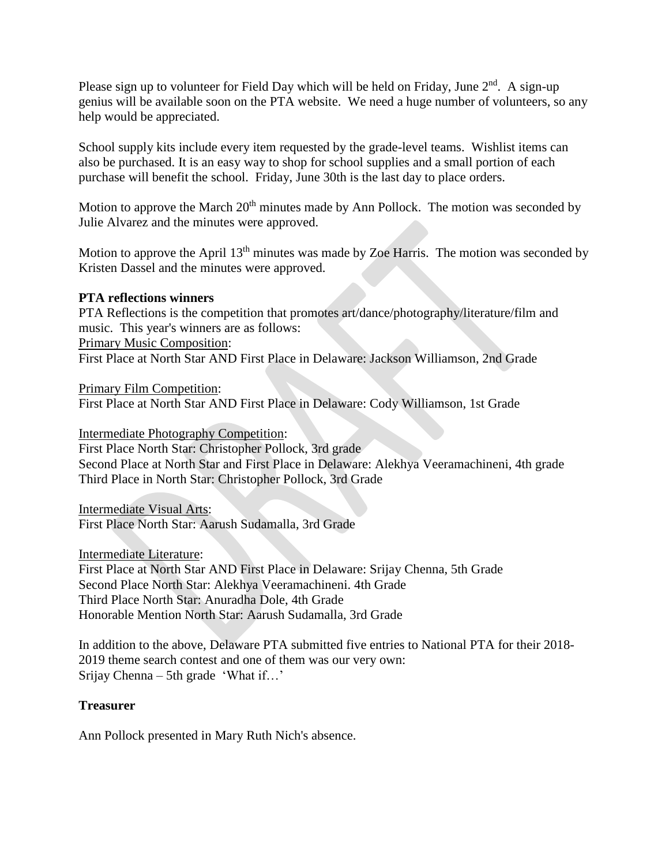Please sign up to volunteer for Field Day which will be held on Friday, June  $2<sup>nd</sup>$ . A sign-up genius will be available soon on the PTA website. We need a huge number of volunteers, so any help would be appreciated.

School supply kits include every item requested by the grade-level teams. Wishlist items can also be purchased. It is an easy way to shop for school supplies and a small portion of each purchase will benefit the school. Friday, June 30th is the last day to place orders.

Motion to approve the March  $20<sup>th</sup>$  minutes made by Ann Pollock. The motion was seconded by Julie Alvarez and the minutes were approved.

Motion to approve the April  $13<sup>th</sup>$  minutes was made by Zoe Harris. The motion was seconded by Kristen Dassel and the minutes were approved.

## **PTA reflections winners**

PTA Reflections is the competition that promotes art/dance/photography/literature/film and music. This year's winners are as follows:

Primary Music Composition:

First Place at North Star AND First Place in Delaware: Jackson Williamson, 2nd Grade

Primary Film Competition:

First Place at North Star AND First Place in Delaware: Cody Williamson, 1st Grade

Intermediate Photography Competition:

First Place North Star: Christopher Pollock, 3rd grade Second Place at North Star and First Place in Delaware: Alekhya Veeramachineni, 4th grade Third Place in North Star: Christopher Pollock, 3rd Grade

Intermediate Visual Arts: First Place North Star: Aarush Sudamalla, 3rd Grade

Intermediate Literature:

First Place at North Star AND First Place in Delaware: Srijay Chenna, 5th Grade Second Place North Star: Alekhya Veeramachineni. 4th Grade Third Place North Star: Anuradha Dole, 4th Grade Honorable Mention North Star: Aarush Sudamalla, 3rd Grade

In addition to the above, Delaware PTA submitted five entries to National PTA for their 2018- 2019 theme search contest and one of them was our very own: Srijay Chenna – 5th grade 'What if…'

## **Treasurer**

Ann Pollock presented in Mary Ruth Nich's absence.